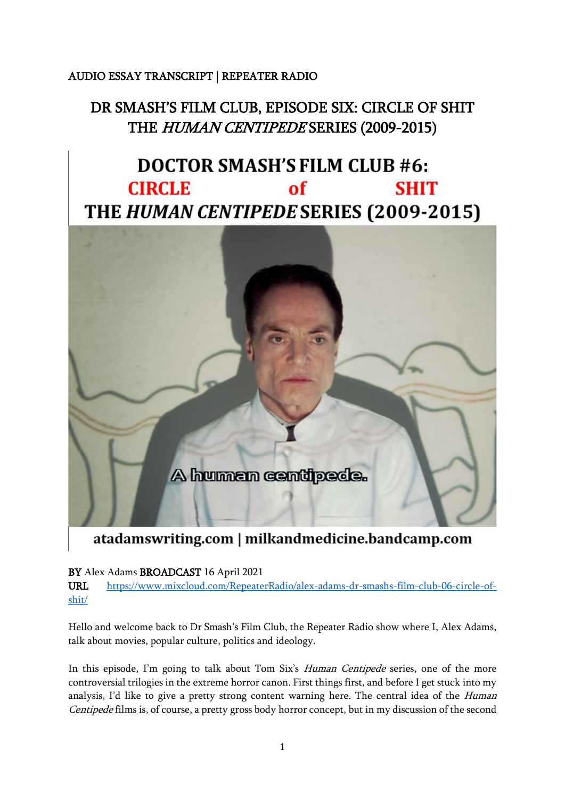## AUDIO ESSAY TRANSCRIPT | REPEATER RADIO

## DR SMASH'S FILM CLUB, EPISODE SIX: CIRCLE OF SHIT THE HUMAN CENTIPEDE SERIES (2009-2015)

## **DOCTOR SMASH'S FILM CLUB #6: CIRCLE**  $of$ **SHIT** THE HUMAN CENTIPEDE SERIES (2009-2015)



## atadamswriting.com | milkandmedicine.bandcamp.com

BY Alex Adams BROADCAST 16 April 2021

URL [https://www.mixcloud.com/RepeaterRadio/alex-adams-dr-smashs-film-club-06-circle-of](https://www.mixcloud.com/RepeaterRadio/alex-adams-dr-smashs-film-club-06-circle-of-shit/)[shit/](https://www.mixcloud.com/RepeaterRadio/alex-adams-dr-smashs-film-club-06-circle-of-shit/)

Hello and welcome back to Dr Smash's Film Club, the Repeater Radio show where I, Alex Adams, talk about movies, popular culture, politics and ideology.

In this episode, I'm going to talk about Tom Six's Human Centipede series, one of the more controversial trilogies in the extreme horror canon. First things first, and before I get stuck into my analysis, I'd like to give a pretty strong content warning here. The central idea of the *Human* Centipede films is, of course, a pretty gross body horror concept, but in my discussion of the second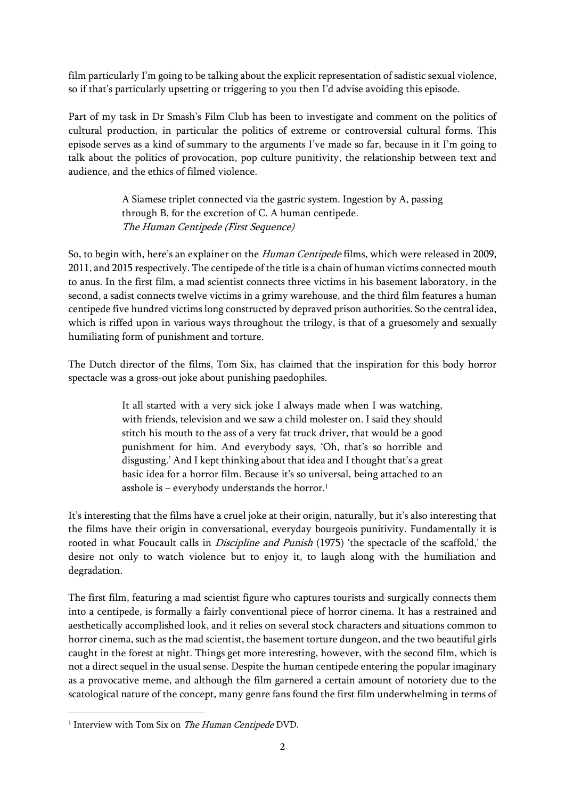film particularly I'm going to be talking about the explicit representation of sadistic sexual violence, so if that's particularly upsetting or triggering to you then I'd advise avoiding this episode.

Part of my task in Dr Smash's Film Club has been to investigate and comment on the politics of cultural production, in particular the politics of extreme or controversial cultural forms. This episode serves as a kind of summary to the arguments I've made so far, because in it I'm going to talk about the politics of provocation, pop culture punitivity, the relationship between text and audience, and the ethics of filmed violence.

> A Siamese triplet connected via the gastric system. Ingestion by A, passing through B, for the excretion of C. A human centipede. The Human Centipede (First Sequence)

So, to begin with, here's an explainer on the Human Centipede films, which were released in 2009, 2011, and 2015 respectively. The centipede of the title is a chain of human victims connected mouth to anus. In the first film, a mad scientist connects three victims in his basement laboratory, in the second, a sadist connects twelve victims in a grimy warehouse, and the third film features a human centipede five hundred victims long constructed by depraved prison authorities. So the central idea, which is riffed upon in various ways throughout the trilogy, is that of a gruesomely and sexually humiliating form of punishment and torture.

The Dutch director of the films, Tom Six, has claimed that the inspiration for this body horror spectacle was a gross-out joke about punishing paedophiles.

> It all started with a very sick joke I always made when I was watching, with friends, television and we saw a child molester on. I said they should stitch his mouth to the ass of a very fat truck driver, that would be a good punishment for him. And everybody says, 'Oh, that's so horrible and disgusting.' And I kept thinking about that idea and I thought that's a great basic idea for a horror film. Because it's so universal, being attached to an asshole is – everybody understands the horror. $1$

It's interesting that the films have a cruel joke at their origin, naturally, but it's also interesting that the films have their origin in conversational, everyday bourgeois punitivity. Fundamentally it is rooted in what Foucault calls in *Discipline and Punish* (1975) 'the spectacle of the scaffold,' the desire not only to watch violence but to enjoy it, to laugh along with the humiliation and degradation.

The first film, featuring a mad scientist figure who captures tourists and surgically connects them into a centipede, is formally a fairly conventional piece of horror cinema. It has a restrained and aesthetically accomplished look, and it relies on several stock characters and situations common to horror cinema, such as the mad scientist, the basement torture dungeon, and the two beautiful girls caught in the forest at night. Things get more interesting, however, with the second film, which is not a direct sequel in the usual sense. Despite the human centipede entering the popular imaginary as a provocative meme, and although the film garnered a certain amount of notoriety due to the scatological nature of the concept, many genre fans found the first film underwhelming in terms of

<sup>&</sup>lt;sup>1</sup> Interview with Tom Six on *The Human Centipede* DVD.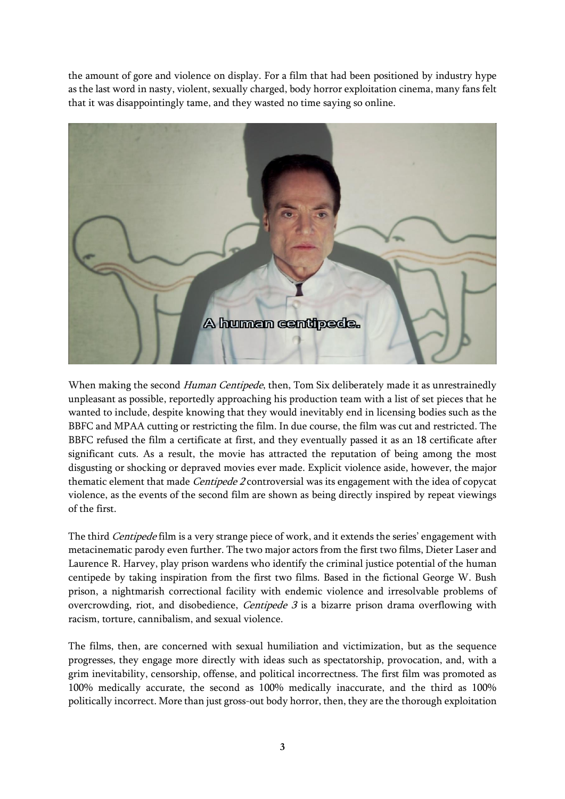the amount of gore and violence on display. For a film that had been positioned by industry hype as the last word in nasty, violent, sexually charged, body horror exploitation cinema, many fans felt that it was disappointingly tame, and they wasted no time saying so online.



When making the second Human Centipede, then, Tom Six deliberately made it as unrestrainedly unpleasant as possible, reportedly approaching his production team with a list of set pieces that he wanted to include, despite knowing that they would inevitably end in licensing bodies such as the BBFC and MPAA cutting or restricting the film. In due course, the film was cut and restricted. The BBFC refused the film a certificate at first, and they eventually passed it as an 18 certificate after significant cuts. As a result, the movie has attracted the reputation of being among the most disgusting or shocking or depraved movies ever made. Explicit violence aside, however, the major thematic element that made *Centipede 2* controversial was its engagement with the idea of copycat violence, as the events of the second film are shown as being directly inspired by repeat viewings of the first.

The third Centipede film is a very strange piece of work, and it extends the series' engagement with metacinematic parody even further. The two major actors from the first two films, Dieter Laser and Laurence R. Harvey, play prison wardens who identify the criminal justice potential of the human centipede by taking inspiration from the first two films. Based in the fictional George W. Bush prison, a nightmarish correctional facility with endemic violence and irresolvable problems of overcrowding, riot, and disobedience, *Centipede 3* is a bizarre prison drama overflowing with racism, torture, cannibalism, and sexual violence.

The films, then, are concerned with sexual humiliation and victimization, but as the sequence progresses, they engage more directly with ideas such as spectatorship, provocation, and, with a grim inevitability, censorship, offense, and political incorrectness. The first film was promoted as 100% medically accurate, the second as 100% medically inaccurate, and the third as 100% politically incorrect. More than just gross-out body horror, then, they are the thorough exploitation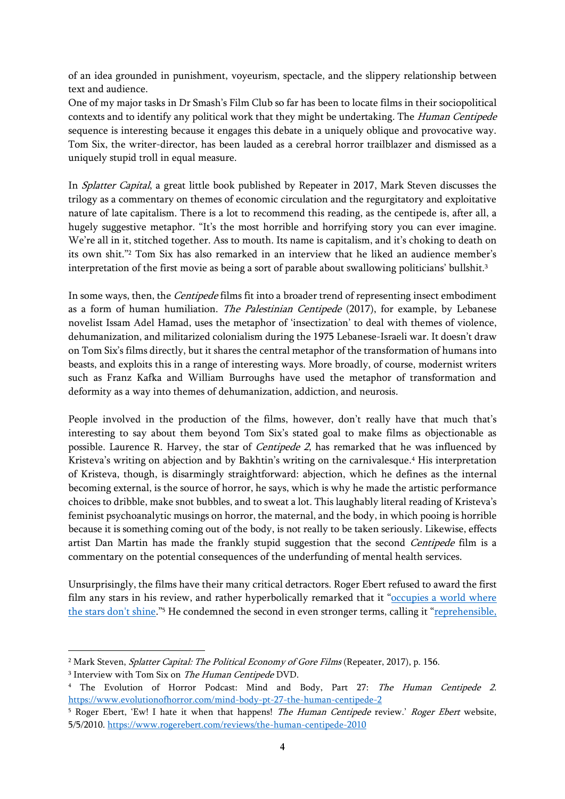of an idea grounded in punishment, voyeurism, spectacle, and the slippery relationship between text and audience.

One of my major tasks in Dr Smash's Film Club so far has been to locate films in their sociopolitical contexts and to identify any political work that they might be undertaking. The Human Centipede sequence is interesting because it engages this debate in a uniquely oblique and provocative way. Tom Six, the writer-director, has been lauded as a cerebral horror trailblazer and dismissed as a uniquely stupid troll in equal measure.

In Splatter Capital, a great little book published by Repeater in 2017, Mark Steven discusses the trilogy as a commentary on themes of economic circulation and the regurgitatory and exploitative nature of late capitalism. There is a lot to recommend this reading, as the centipede is, after all, a hugely suggestive metaphor. "It's the most horrible and horrifying story you can ever imagine. We're all in it, stitched together. Ass to mouth. Its name is capitalism, and it's choking to death on its own shit."<sup>2</sup> Tom Six has also remarked in an interview that he liked an audience member's interpretation of the first movie as being a sort of parable about swallowing politicians' bullshit.<sup>3</sup>

In some ways, then, the Centipede films fit into a broader trend of representing insect embodiment as a form of human humiliation. The Palestinian Centipede (2017), for example, by Lebanese novelist Issam Adel Hamad, uses the metaphor of 'insectization' to deal with themes of violence, dehumanization, and militarized colonialism during the 1975 Lebanese-Israeli war. It doesn't draw on Tom Six's films directly, but it shares the central metaphor of the transformation of humans into beasts, and exploits this in a range of interesting ways. More broadly, of course, modernist writers such as Franz Kafka and William Burroughs have used the metaphor of transformation and deformity as a way into themes of dehumanization, addiction, and neurosis.

People involved in the production of the films, however, don't really have that much that's interesting to say about them beyond Tom Six's stated goal to make films as objectionable as possible. Laurence R. Harvey, the star of *Centipede 2*, has remarked that he was influenced by Kristeva's writing on abjection and by Bakhtin's writing on the carnivalesque. <sup>4</sup> His interpretation of Kristeva, though, is disarmingly straightforward: abjection, which he defines as the internal becoming external, is the source of horror, he says, which is why he made the artistic performance choices to dribble, make snot bubbles, and to sweat a lot. This laughably literal reading of Kristeva's feminist psychoanalytic musings on horror, the maternal, and the body, in which pooing is horrible because it is something coming out of the body, is not really to be taken seriously. Likewise, effects artist Dan Martin has made the frankly stupid suggestion that the second Centipede film is a commentary on the potential consequences of the underfunding of mental health services.

Unsurprisingly, the films have their many critical detractors. Roger Ebert refused to award the first film any stars in his review, and rather hyperbolically remarked that it "occupies a world where [the stars don't shine.](https://www.rogerebert.com/reviews/the-human-centipede-2010)"<sup>5</sup> He condemned the second in even stronger terms, calling it "<u>reprehensible,</u>

<sup>&</sup>lt;sup>2</sup> Mark Steven, *Splatter Capital: The Political Economy of Gore Films* (Repeater, 2017), p. 156.

<sup>&</sup>lt;sup>3</sup> Interview with Tom Six on *The Human Centipede* DVD.

<sup>&</sup>lt;sup>4</sup> The Evolution of Horror Podcast: Mind and Body, Part 27: The Human Centipede 2. <https://www.evolutionofhorror.com/mind-body-pt-27-the-human-centipede-2>

<sup>&</sup>lt;sup>5</sup> Roger Ebert, 'Ew! I hate it when that happens! *The Human Centipede* review.' *Roger Ebert* website, 5/5/2010.<https://www.rogerebert.com/reviews/the-human-centipede-2010>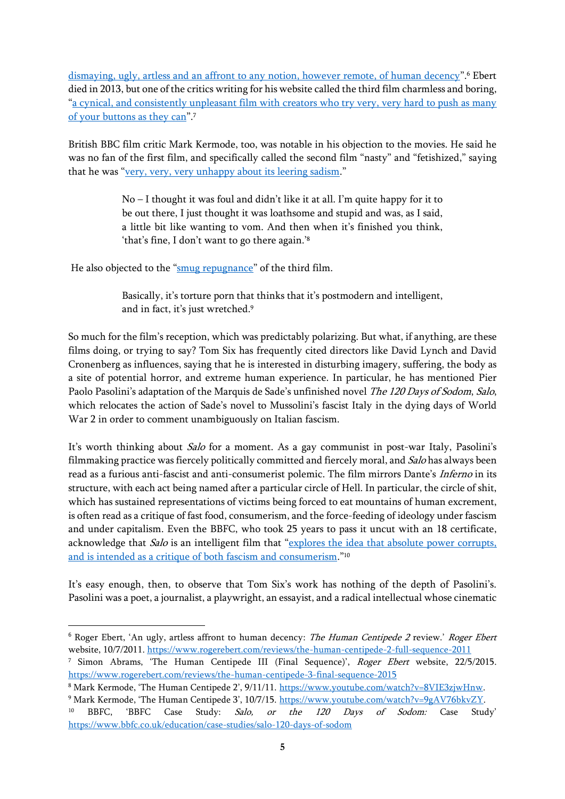[dismaying, ugly, artless and an affront to any notion, however remote, of human decency](https://www.rogerebert.com/reviews/the-human-centipede-2-full-sequence-2011)".<sup>6</sup> Ebert died in 2013, but one of the critics writing for his website called the third film charmless and boring, "[a cynical, and consistently unpleasant film with creators who try very, very hard to push as many](https://www.rogerebert.com/reviews/the-human-centipede-3-final-sequence-2015)  [of your buttons as they can](https://www.rogerebert.com/reviews/the-human-centipede-3-final-sequence-2015)".<sup>7</sup>

British BBC film critic Mark Kermode, too, was notable in his objection to the movies. He said he was no fan of the first film, and specifically called the second film "nasty" and "fetishized," saying that he was "[very, very, very unhappy about its leering sadism](https://www.youtube.com/watch?v=8VIE3zjwHnw)."

> No – I thought it was foul and didn't like it at all. I'm quite happy for it to be out there, I just thought it was loathsome and stupid and was, as I said, a little bit like wanting to vom. And then when it's finished you think, 'that's fine, I don't want to go there again.'<sup>8</sup>

He also objected to the "[smug repugnance](https://www.youtube.com/watch?v=9gAV76bkvZY)" of the third film.

Basically, it's torture porn that thinks that it's postmodern and intelligent, and in fact, it's just wretched.<sup>9</sup>

So much for the film's reception, which was predictably polarizing. But what, if anything, are these films doing, or trying to say? Tom Six has frequently cited directors like David Lynch and David Cronenberg as influences, saying that he is interested in disturbing imagery, suffering, the body as a site of potential horror, and extreme human experience. In particular, he has mentioned Pier Paolo Pasolini's adaptation of the Marquis de Sade's unfinished novel The 120 Days of Sodom, Salo, which relocates the action of Sade's novel to Mussolini's fascist Italy in the dying days of World War 2 in order to comment unambiguously on Italian fascism.

It's worth thinking about Salo for a moment. As a gay communist in post-war Italy, Pasolini's filmmaking practice was fiercely politically committed and fiercely moral, and Salo has always been read as a furious anti-fascist and anti-consumerist polemic. The film mirrors Dante's Inferno in its structure, with each act being named after a particular circle of Hell. In particular, the circle of shit, which has sustained representations of victims being forced to eat mountains of human excrement, is often read as a critique of fast food, consumerism, and the force-feeding of ideology under fascism and under capitalism. Even the BBFC, who took 25 years to pass it uncut with an 18 certificate, acknowledge that Salo is an intelligent film that "explores the idea that absolute power corrupts, [and is intended as a critique of both fascism and consumerism.](https://www.bbfc.co.uk/education/case-studies/salo-120-days-of-sodom)" 10

It's easy enough, then, to observe that Tom Six's work has nothing of the depth of Pasolini's. Pasolini was a poet, a journalist, a playwright, an essayist, and a radical intellectual whose cinematic

<sup>8</sup> Mark Kermode, 'The Human Centipede 2', 9/11/11. [https://www.youtube.com/watch?v=8VIE3zjwHnw.](https://www.youtube.com/watch?v=8VIE3zjwHnw)

<sup>&</sup>lt;sup>6</sup> Roger Ebert, 'An ugly, artless affront to human decency: The Human Centipede 2 review.' Roger Ebert website, 10/7/2011. <https://www.rogerebert.com/reviews/the-human-centipede-2-full-sequence-2011>

<sup>&</sup>lt;sup>7</sup> Simon Abrams, 'The Human Centipede III (Final Sequence)', *Roger Ebert* website, 22/5/2015. <https://www.rogerebert.com/reviews/the-human-centipede-3-final-sequence-2015>

<sup>&</sup>lt;sup>9</sup> Mark Kermode, 'The Human Centipede 3', 10/7/15. [https://www.youtube.com/watch?v=9gAV76bkvZY.](https://www.youtube.com/watch?v=9gAV76bkvZY) <sup>10</sup> BBFC, 'BBFC Case Study: Salo, or the 120 Days of Sodom: Case Study' <https://www.bbfc.co.uk/education/case-studies/salo-120-days-of-sodom>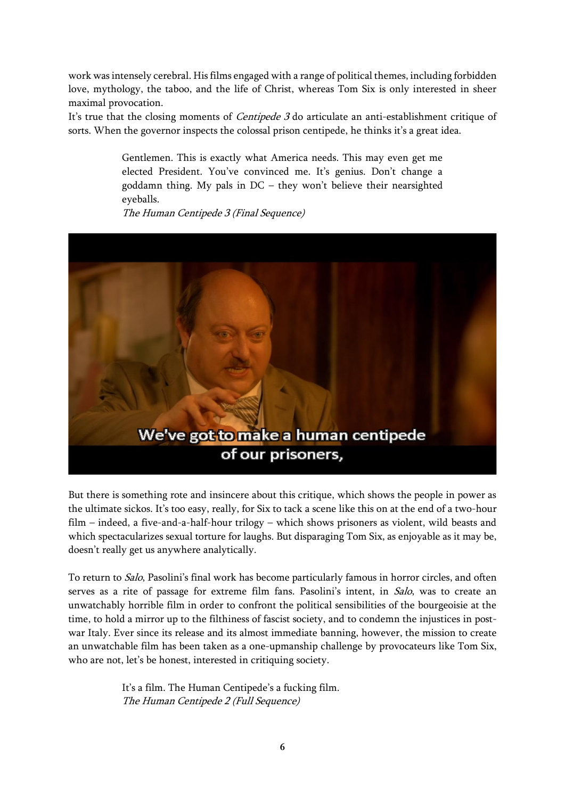work was intensely cerebral. His films engaged with a range of political themes, including forbidden love, mythology, the taboo, and the life of Christ, whereas Tom Six is only interested in sheer maximal provocation.

It's true that the closing moments of *Centipede 3* do articulate an anti-establishment critique of sorts. When the governor inspects the colossal prison centipede, he thinks it's a great idea.

> Gentlemen. This is exactly what America needs. This may even get me elected President. You've convinced me. It's genius. Don't change a goddamn thing. My pals in DC – they won't believe their nearsighted eyeballs.

The Human Centipede 3 (Final Sequence)



But there is something rote and insincere about this critique, which shows the people in power as the ultimate sickos. It's too easy, really, for Six to tack a scene like this on at the end of a two-hour film – indeed, a five-and-a-half-hour trilogy – which shows prisoners as violent, wild beasts and which spectacularizes sexual torture for laughs. But disparaging Tom Six, as enjoyable as it may be, doesn't really get us anywhere analytically.

To return to Salo, Pasolini's final work has become particularly famous in horror circles, and often serves as a rite of passage for extreme film fans. Pasolini's intent, in Salo, was to create an unwatchably horrible film in order to confront the political sensibilities of the bourgeoisie at the time, to hold a mirror up to the filthiness of fascist society, and to condemn the injustices in postwar Italy. Ever since its release and its almost immediate banning, however, the mission to create an unwatchable film has been taken as a one-upmanship challenge by provocateurs like Tom Six, who are not, let's be honest, interested in critiquing society.

> It's a film. The Human Centipede's a fucking film. The Human Centipede 2 (Full Sequence)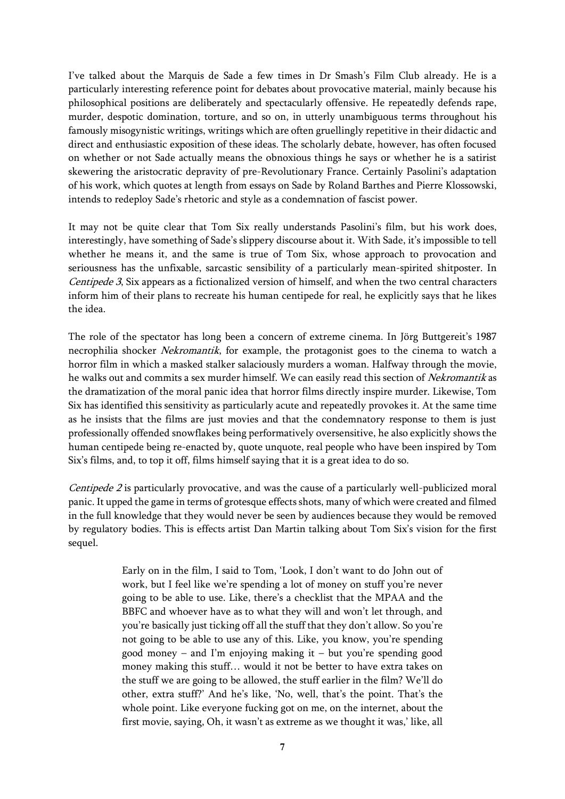I've talked about the Marquis de Sade a few times in Dr Smash's Film Club already. He is a particularly interesting reference point for debates about provocative material, mainly because his philosophical positions are deliberately and spectacularly offensive. He repeatedly defends rape, murder, despotic domination, torture, and so on, in utterly unambiguous terms throughout his famously misogynistic writings, writings which are often gruellingly repetitive in their didactic and direct and enthusiastic exposition of these ideas. The scholarly debate, however, has often focused on whether or not Sade actually means the obnoxious things he says or whether he is a satirist skewering the aristocratic depravity of pre-Revolutionary France. Certainly Pasolini's adaptation of his work, which quotes at length from essays on Sade by Roland Barthes and Pierre Klossowski, intends to redeploy Sade's rhetoric and style as a condemnation of fascist power.

It may not be quite clear that Tom Six really understands Pasolini's film, but his work does, interestingly, have something of Sade's slippery discourse about it. With Sade, it's impossible to tell whether he means it, and the same is true of Tom Six, whose approach to provocation and seriousness has the unfixable, sarcastic sensibility of a particularly mean-spirited shitposter. In Centipede 3, Six appears as a fictionalized version of himself, and when the two central characters inform him of their plans to recreate his human centipede for real, he explicitly says that he likes the idea.

The role of the spectator has long been a concern of extreme cinema. In Jörg Buttgereit's 1987 necrophilia shocker Nekromantik, for example, the protagonist goes to the cinema to watch a horror film in which a masked stalker salaciously murders a woman. Halfway through the movie, he walks out and commits a sex murder himself. We can easily read this section of Nekromantik as the dramatization of the moral panic idea that horror films directly inspire murder. Likewise, Tom Six has identified this sensitivity as particularly acute and repeatedly provokes it. At the same time as he insists that the films are just movies and that the condemnatory response to them is just professionally offended snowflakes being performatively oversensitive, he also explicitly shows the human centipede being re-enacted by, quote unquote, real people who have been inspired by Tom Six's films, and, to top it off, films himself saying that it is a great idea to do so.

*Centipede 2* is particularly provocative, and was the cause of a particularly well-publicized moral panic. It upped the game in terms of grotesque effects shots, many of which were created and filmed in the full knowledge that they would never be seen by audiences because they would be removed by regulatory bodies. This is effects artist Dan Martin talking about Tom Six's vision for the first sequel.

> Early on in the film, I said to Tom, 'Look, I don't want to do John out of work, but I feel like we're spending a lot of money on stuff you're never going to be able to use. Like, there's a checklist that the MPAA and the BBFC and whoever have as to what they will and won't let through, and you're basically just ticking off all the stuff that they don't allow. So you're not going to be able to use any of this. Like, you know, you're spending good money – and I'm enjoying making it – but you're spending good money making this stuff… would it not be better to have extra takes on the stuff we are going to be allowed, the stuff earlier in the film? We'll do other, extra stuff?' And he's like, 'No, well, that's the point. That's the whole point. Like everyone fucking got on me, on the internet, about the first movie, saying, Oh, it wasn't as extreme as we thought it was,' like, all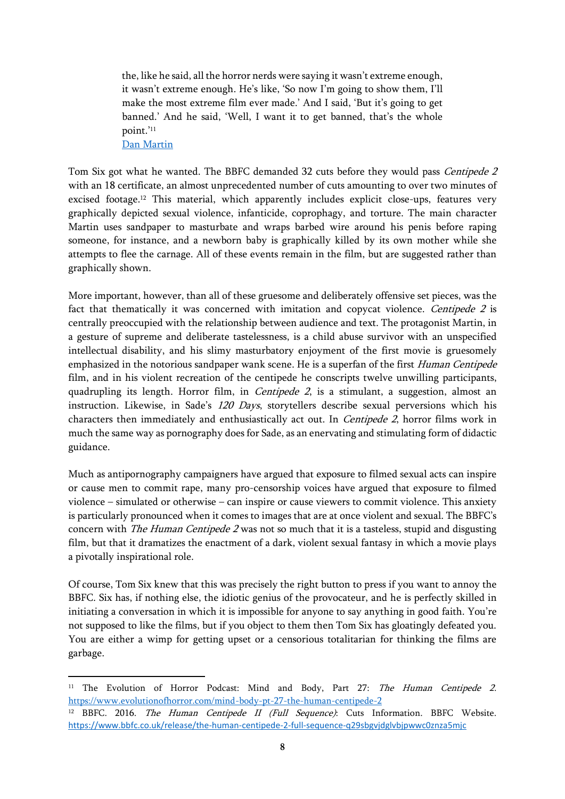the, like he said, all the horror nerds were saying it wasn't extreme enough, it wasn't extreme enough. He's like, 'So now I'm going to show them, I'll make the most extreme film ever made.' And I said, 'But it's going to get banned.' And he said, 'Well, I want it to get banned, that's the whole point.'<sup>11</sup>

[Dan Martin](https://www.evolutionofhorror.com/mind-body-pt-27-the-human-centipede-2)

Tom Six got what he wanted. The BBFC demanded 32 cuts before they would pass Centipede 2 with an 18 certificate, an almost unprecedented number of cuts amounting to over two minutes of excised footage.<sup>12</sup> This material, which apparently includes explicit close-ups, features very graphically depicted sexual violence, infanticide, coprophagy, and torture. The main character Martin uses sandpaper to masturbate and wraps barbed wire around his penis before raping someone, for instance, and a newborn baby is graphically killed by its own mother while she attempts to flee the carnage. All of these events remain in the film, but are suggested rather than graphically shown.

More important, however, than all of these gruesome and deliberately offensive set pieces, was the fact that thematically it was concerned with imitation and copycat violence. Centipede 2 is centrally preoccupied with the relationship between audience and text. The protagonist Martin, in a gesture of supreme and deliberate tastelessness, is a child abuse survivor with an unspecified intellectual disability, and his slimy masturbatory enjoyment of the first movie is gruesomely emphasized in the notorious sandpaper wank scene. He is a superfan of the first Human Centipede film, and in his violent recreation of the centipede he conscripts twelve unwilling participants, quadrupling its length. Horror film, in *Centipede 2*, is a stimulant, a suggestion, almost an instruction. Likewise, in Sade's 120 Days, storytellers describe sexual perversions which his characters then immediately and enthusiastically act out. In *Centipede 2*, horror films work in much the same way as pornography does for Sade, as an enervating and stimulating form of didactic guidance.

Much as antipornography campaigners have argued that exposure to filmed sexual acts can inspire or cause men to commit rape, many pro-censorship voices have argued that exposure to filmed violence – simulated or otherwise – can inspire or cause viewers to commit violence. This anxiety is particularly pronounced when it comes to images that are at once violent and sexual. The BBFC's concern with *The Human Centipede 2* was not so much that it is a tasteless, stupid and disgusting film, but that it dramatizes the enactment of a dark, violent sexual fantasy in which a movie plays a pivotally inspirational role.

Of course, Tom Six knew that this was precisely the right button to press if you want to annoy the BBFC. Six has, if nothing else, the idiotic genius of the provocateur, and he is perfectly skilled in initiating a conversation in which it is impossible for anyone to say anything in good faith. You're not supposed to like the films, but if you object to them then Tom Six has gloatingly defeated you. You are either a wimp for getting upset or a censorious totalitarian for thinking the films are garbage.

<sup>&</sup>lt;sup>11</sup> The Evolution of Horror Podcast: Mind and Body, Part 27: The Human Centipede 2. <https://www.evolutionofhorror.com/mind-body-pt-27-the-human-centipede-2>

<sup>&</sup>lt;sup>12</sup> BBFC. 2016. *The Human Centipede II (Full Sequence)*: Cuts Information. BBFC Website. <https://www.bbfc.co.uk/release/the-human-centipede-2-full-sequence-q29sbgvjdglvbjpwwc0znza5mjc>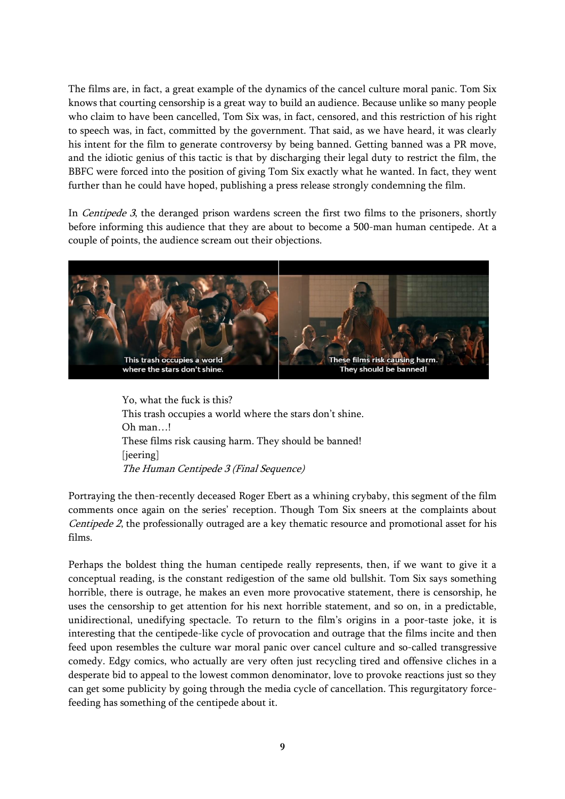The films are, in fact, a great example of the dynamics of the cancel culture moral panic. Tom Six knows that courting censorship is a great way to build an audience. Because unlike so many people who claim to have been cancelled, Tom Six was, in fact, censored, and this restriction of his right to speech was, in fact, committed by the government. That said, as we have heard, it was clearly his intent for the film to generate controversy by being banned. Getting banned was a PR move, and the idiotic genius of this tactic is that by discharging their legal duty to restrict the film, the BBFC were forced into the position of giving Tom Six exactly what he wanted. In fact, they went further than he could have hoped, publishing a press release strongly condemning the film.

In *Centipede 3*, the deranged prison wardens screen the first two films to the prisoners, shortly before informing this audience that they are about to become a 500-man human centipede. At a couple of points, the audience scream out their objections.



Yo, what the fuck is this? This trash occupies a world where the stars don't shine. Oh man…! These films risk causing harm. They should be banned! [jeering] The Human Centipede 3 (Final Sequence)

Portraying the then-recently deceased Roger Ebert as a whining crybaby, this segment of the film comments once again on the series' reception. Though Tom Six sneers at the complaints about Centipede 2, the professionally outraged are a key thematic resource and promotional asset for his films.

Perhaps the boldest thing the human centipede really represents, then, if we want to give it a conceptual reading, is the constant redigestion of the same old bullshit. Tom Six says something horrible, there is outrage, he makes an even more provocative statement, there is censorship, he uses the censorship to get attention for his next horrible statement, and so on, in a predictable, unidirectional, unedifying spectacle. To return to the film's origins in a poor-taste joke, it is interesting that the centipede-like cycle of provocation and outrage that the films incite and then feed upon resembles the culture war moral panic over cancel culture and so-called transgressive comedy. Edgy comics, who actually are very often just recycling tired and offensive cliches in a desperate bid to appeal to the lowest common denominator, love to provoke reactions just so they can get some publicity by going through the media cycle of cancellation. This regurgitatory forcefeeding has something of the centipede about it.